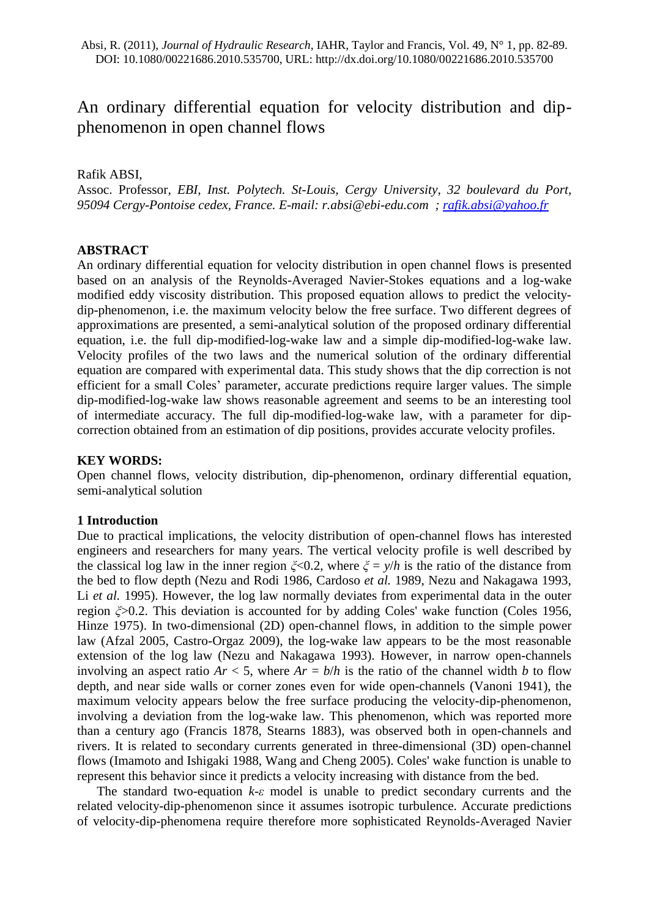# An ordinary differential equation for velocity distribution and dipphenomenon in open channel flows

Rafik ABSI,

Assoc. Professor*, EBI, Inst. Polytech. St-Louis, Cergy University, 32 boulevard du Port, 95094 Cergy-Pontoise cedex, France. E-mail: [r.absi@ebi-edu.com](mailto:r.absi@ebi-edu.com) ; [rafik.absi@yahoo.fr](mailto:rafik.absi@yahoo.fr)*

# **ABSTRACT**

An ordinary differential equation for velocity distribution in open channel flows is presented based on an analysis of the Reynolds-Averaged Navier-Stokes equations and a log-wake modified eddy viscosity distribution. This proposed equation allows to predict the velocitydip-phenomenon, i.e. the maximum velocity below the free surface. Two different degrees of approximations are presented, a semi-analytical solution of the proposed ordinary differential equation, i.e. the full dip-modified-log-wake law and a simple dip-modified-log-wake law. Velocity profiles of the two laws and the numerical solution of the ordinary differential equation are compared with experimental data. This study shows that the dip correction is not efficient for a small Coles' parameter, accurate predictions require larger values. The simple dip-modified-log-wake law shows reasonable agreement and seems to be an interesting tool of intermediate accuracy. The full dip-modified-log-wake law, with a parameter for dipcorrection obtained from an estimation of dip positions, provides accurate velocity profiles.

## **KEY WORDS:**

Open channel flows, velocity distribution, dip-phenomenon, ordinary differential equation, semi-analytical solution

# **1 Introduction**

Due to practical implications, the velocity distribution of open-channel flows has interested engineers and researchers for many years. The vertical velocity profile is well described by the classical log law in the inner region  $\zeta$ <0.2, where  $\zeta = y/h$  is the ratio of the distance from the bed to flow depth (Nezu and Rodi 1986, Cardoso *et al.* 1989, Nezu and Nakagawa 1993, Li *et al.* 1995). However, the log law normally deviates from experimental data in the outer region *ξ*>0.2. This deviation is accounted for by adding Coles' wake function (Coles 1956, Hinze 1975). In two-dimensional (2D) open-channel flows, in addition to the simple power law (Afzal 2005, Castro-Orgaz 2009), the log-wake law appears to be the most reasonable extension of the log law (Nezu and Nakagawa 1993). However, in narrow open-channels involving an aspect ratio  $Ar < 5$ , where  $Ar = b/h$  is the ratio of the channel width *b* to flow depth, and near side walls or corner zones even for wide open-channels (Vanoni 1941), the maximum velocity appears below the free surface producing the velocity-dip-phenomenon, involving a deviation from the log-wake law. This phenomenon, which was reported more than a century ago (Francis 1878, Stearns 1883), was observed both in open-channels and rivers. It is related to secondary currents generated in three-dimensional (3D) open-channel flows (Imamoto and Ishigaki 1988, Wang and Cheng 2005). Coles' wake function is unable to represent this behavior since it predicts a velocity increasing with distance from the bed.

The standard two-equation *k-ε* model is unable to predict secondary currents and the related velocity-dip-phenomenon since it assumes isotropic turbulence. Accurate predictions of velocity-dip-phenomena require therefore more sophisticated Reynolds-Averaged Navier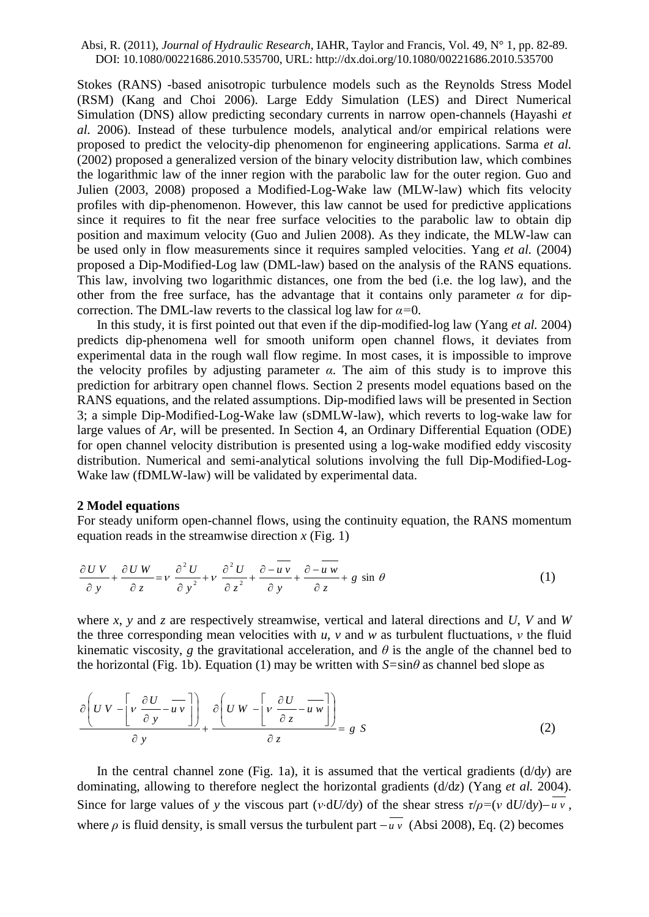Stokes (RANS) -based anisotropic turbulence models such as the Reynolds Stress Model (RSM) (Kang and Choi 2006). Large Eddy Simulation (LES) and Direct Numerical Simulation (DNS) allow predicting secondary currents in narrow open-channels (Hayashi *et al.* 2006). Instead of these turbulence models, analytical and/or empirical relations were proposed to predict the velocity-dip phenomenon for engineering applications. Sarma *et al.* (2002) proposed a generalized version of the binary velocity distribution law, which combines the logarithmic law of the inner region with the parabolic law for the outer region. Guo and Julien (2003, 2008) proposed a Modified-Log-Wake law (MLW-law) which fits velocity profiles with dip-phenomenon. However, this law cannot be used for predictive applications since it requires to fit the near free surface velocities to the parabolic law to obtain dip position and maximum velocity (Guo and Julien 2008). As they indicate, the MLW-law can be used only in flow measurements since it requires sampled velocities. Yang *et al.* (2004) proposed a Dip-Modified-Log law (DML-law) based on the analysis of the RANS equations. This law, involving two logarithmic distances, one from the bed (i.e. the log law), and the other from the free surface, has the advantage that it contains only parameter  $\alpha$  for dipcorrection. The DML-law reverts to the classical log law for *α=*0.

In this study, it is first pointed out that even if the dip-modified-log law (Yang *et al.* 2004) predicts dip-phenomena well for smooth uniform open channel flows, it deviates from experimental data in the rough wall flow regime. In most cases, it is impossible to improve the velocity profiles by adjusting parameter  $\alpha$ . The aim of this study is to improve this prediction for arbitrary open channel flows. Section 2 presents model equations based on the RANS equations, and the related assumptions. Dip-modified laws will be presented in Section 3; a simple Dip-Modified-Log-Wake law (sDMLW-law), which reverts to log-wake law for large values of *Ar*, will be presented. In Section 4, an Ordinary Differential Equation (ODE) for open channel velocity distribution is presented using a log-wake modified eddy viscosity distribution. Numerical and semi-analytical solutions involving the full Dip-Modified-Log-Wake law (fDMLW-law) will be validated by experimental data.

## **2 Model equations**

For steady uniform open-channel flows, using the continuity equation, the RANS momentum equation reads in the streamwise direction  $x$  (Fig. 1)

$$
\frac{\partial U V}{\partial y} + \frac{\partial U W}{\partial z} = v \frac{\partial^2 U}{\partial y^2} + v \frac{\partial^2 U}{\partial z^2} + \frac{\partial - \overline{u v}}{\partial y} + \frac{\partial - \overline{u w}}{\partial z} + g \sin \theta
$$
 (1)

where *x*, *y* and *z* are respectively streamwise, vertical and lateral directions and *U*, *V* and *W* the three corresponding mean velocities with  $u$ ,  $v$  and  $w$  as turbulent fluctuations,  $v$  the fluid kinematic viscosity, *g* the gravitational acceleration, and  $\theta$  is the angle of the channel bed to the horizontal (Fig. 1b). Equation (1) may be written with  $S=\sin\theta$  as channel bed slope as

$$
\frac{\partial \left( U \, V - \left[ v \, \frac{\partial U}{\partial y} - \overline{u} \, v \right] \right)}{\partial \, y} + \frac{\partial \left( U \, W - \left[ v \, \frac{\partial U}{\partial z} - \overline{u} \, w \right] \right)}{\partial \, z} = g \, S \tag{2}
$$

In the central channel zone (Fig. 1a), it is assumed that the vertical gradients (d/d*y*) are dominating, allowing to therefore neglect the horizontal gradients (d/d*z*) (Yang *et al.* 2004). Since for large values of *y* the viscous part (*v*·d*U*/d*y*) of the shear stress  $\tau/\rho = (v \ dU/dy) - u v$ , where  $\rho$  is fluid density, is small versus the turbulent part  $-u \nu$  (Absi 2008), Eq. (2) becomes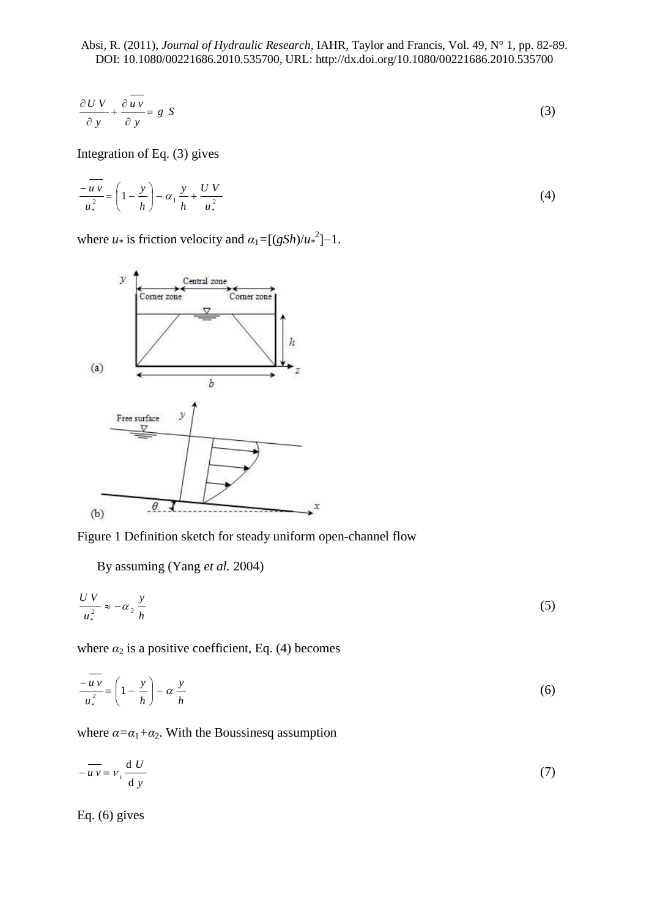$$
\frac{\partial UV}{\partial y} + \frac{\partial \overline{uv}}{\partial y} = g \tag{3}
$$

Integration of Eq. (3) gives

$$
\frac{-\overline{u}\,\overline{v}}{u_*^2} = \left(1 - \frac{y}{h}\right) - \alpha_1 \frac{y}{h} + \frac{U\,V}{u_*^2}
$$
 (4)

where *u*<sup>\*</sup> is friction velocity and  $\alpha_1 = [(gSh)/u^2]$ –1.



Figure 1 Definition sketch for steady uniform open-channel flow

By assuming (Yang *et al.* 2004)

$$
\frac{UV}{u_*^2} \approx -\alpha_2 \frac{y}{h} \tag{5}
$$

where  $\alpha_2$  is a positive coefficient, Eq. (4) becomes

$$
\frac{-\overline{u}\,\overline{v}}{u_*^2} = \left(1 - \frac{y}{h}\right) - \alpha \,\frac{y}{h} \tag{6}
$$

where  $\alpha = \alpha_1 + \alpha_2$ . With the Boussinesq assumption

$$
-\overline{uv} = v_t \frac{dU}{dy}
$$
 (7)

Eq. (6) gives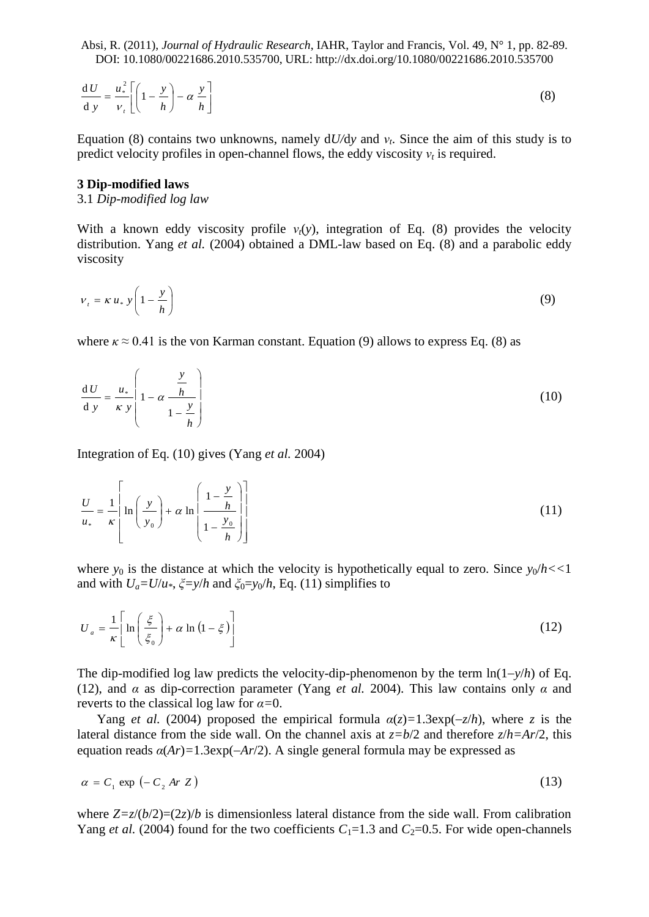$$
\frac{dU}{dy} = \frac{u_*^2}{v_t} \left[ \left( 1 - \frac{y}{h} \right) - \alpha \frac{y}{h} \right]
$$
 (8)

Equation (8) contains two unknowns, namely  $dU/dy$  and  $v_t$ . Since the aim of this study is to predict velocity profiles in open-channel flows, the eddy viscosity  $v_t$  is required.

## **3 Dip-modified laws**

## 3.1 *Dip-modified log law*

With a known eddy viscosity profile  $v_t(y)$ , integration of Eq. (8) provides the velocity distribution. Yang *et al.* (2004) obtained a DML-law based on Eq. (8) and a parabolic eddy viscosity

$$
v_t = \kappa u_* \, y \left( 1 - \frac{y}{h} \right) \tag{9}
$$

where  $\kappa \approx 0.41$  is the von Karman constant. Equation (9) allows to express Eq. (8) as

$$
\frac{\mathrm{d}U}{\mathrm{d}y} = \frac{u_*}{\kappa y} \left( 1 - \alpha \frac{\frac{y}{h}}{1 - \frac{y}{h}} \right) \tag{10}
$$

Integration of Eq. (10) gives (Yang *et al.* 2004)

$$
\frac{U}{u_*} = \frac{1}{\kappa} \left[ \ln \left( \frac{y}{y_0} \right) + \alpha \ln \left( \frac{1 - \frac{y}{h}}{1 - \frac{y_0}{h}} \right) \right]
$$
(11)

where  $y_0$  is the distance at which the velocity is hypothetically equal to zero. Since  $y_0/h \ll 1$ and with  $U_a = U/u^*$ ,  $\zeta = y/h$  and  $\zeta_0 = y_0/h$ , Eq. (11) simplifies to

$$
U_a = \frac{1}{\kappa} \left[ \ln \left( \frac{\xi}{\xi_0} \right) + \alpha \ln \left( 1 - \xi \right) \right]
$$
 (12)

The dip-modified log law predicts the velocity-dip-phenomenon by the term  $\ln(1-\gamma/h)$  of Eq. (12), and *α* as dip-correction parameter (Yang *et al.* 2004). This law contains only *α* and reverts to the classical log law for *α=*0.

Yang *et al.* (2004) proposed the empirical formula  $\alpha(z) = 1.3 \exp(-z/h)$ , where *z* is the lateral distance from the side wall. On the channel axis at  $z = b/2$  and therefore  $z/h = Ar/2$ , this equation reads  $\alpha(Ar) = 1.3 \exp(-Ar/2)$ . A single general formula may be expressed as

$$
\alpha = C_1 \exp\left(-C_2 \text{ Ar } Z\right) \tag{13}
$$

where  $Z=z/(b/2)=(2z)/b$  is dimensionless lateral distance from the side wall. From calibration Yang *et al.* (2004) found for the two coefficients  $C_1 = 1.3$  and  $C_2 = 0.5$ . For wide open-channels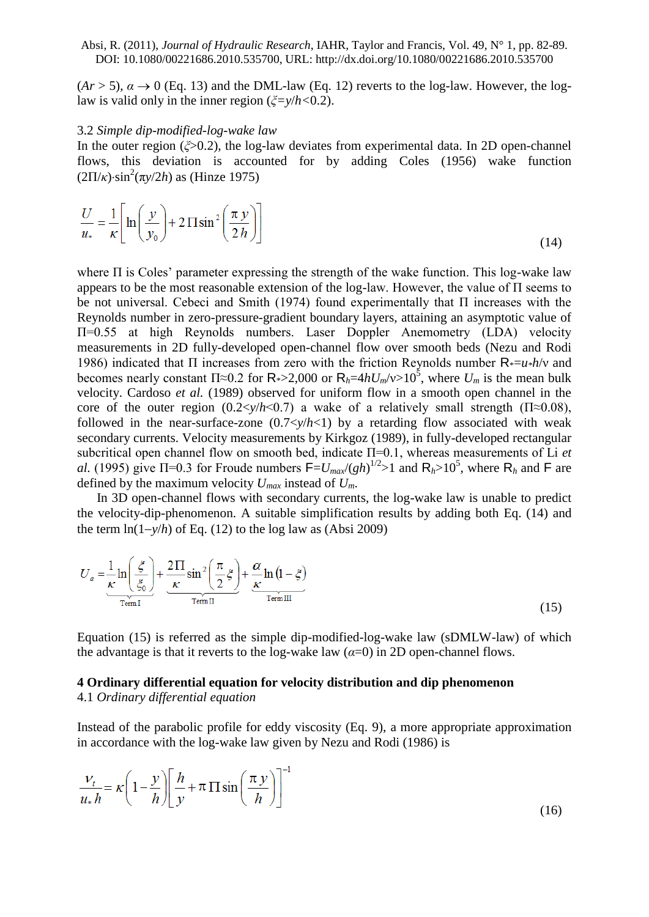$(Ar > 5)$ ,  $\alpha \rightarrow 0$  (Eq. 13) and the DML-law (Eq. 12) reverts to the log-law. However, the loglaw is valid only in the inner region (*ξ=y*/*h<*0.2).

#### 3.2 *Simple dip-modified-log-wake law*

In the outer region (*ξ*>0.2), the log-law deviates from experimental data. In 2D open-channel flows, this deviation is accounted for by adding Coles (1956) wake function  $(2\Pi/\kappa)$ ·sin<sup>2</sup>(π*y*/2*h*) as (Hinze 1975)

$$
\frac{U}{u_*} = \frac{1}{\kappa} \left[ \ln \left( \frac{y}{y_0} \right) + 2 \Pi \sin^2 \left( \frac{\pi y}{2h} \right) \right]
$$
(14)

where  $\Pi$  is Coles' parameter expressing the strength of the wake function. This log-wake law appears to be the most reasonable extension of the log-law. However, the value of Π seems to be not universal. Cebeci and Smith (1974) found experimentally that Π increases with the Reynolds number in zero-pressure-gradient boundary layers, attaining an asymptotic value of Π=0.55 at high Reynolds numbers. Laser Doppler Anemometry (LDA) velocity measurements in 2D fully-developed open-channel flow over smooth beds (Nezu and Rodi 1986) indicated that Π increases from zero with the friction Reynolds number R\*=*u\*h*/ν and becomes nearly constant  $\Pi \approx 0.2$  for  $R_{*} > 2,000$  or  $R_{h} = 4hU_{m}/v > 10^{5}$ , where  $U_{m}$  is the mean bulk velocity. Cardoso *et al.* (1989) observed for uniform flow in a smooth open channel in the core of the outer region  $(0.2 \langle \frac{y}{h} \langle 0.7 \rangle)$  a wake of a relatively small strength  $(\Pi \approx 0.08)$ , followed in the near-surface-zone  $(0.7 \langle \frac{y}{h \langle 1 \rangle})$  by a retarding flow associated with weak secondary currents. Velocity measurements by Kirkgoz (1989), in fully-developed rectangular subcritical open channel flow on smooth bed, indicate Π=0.1, whereas measurements of Li *et al.* (1995) give  $\Pi$ =0.3 for Froude numbers  $F = U_{max}/(gh)^{1/2} > 1$  and  $R_h > 10^5$ , where  $R_h$  and F are defined by the maximum velocity  $U_{max}$  instead of  $U_m$ .

In 3D open-channel flows with secondary currents, the log-wake law is unable to predict the velocity-dip-phenomenon. A suitable simplification results by adding both Eq. (14) and the term  $ln(1-y/h)$  of Eq. (12) to the log law as (Absi 2009)

$$
U_a = \frac{1}{\kappa} \ln \left( \frac{\xi}{\xi_0} \right) + \frac{2 \Pi}{\kappa} \sin^2 \left( \frac{\pi}{2} \xi \right) + \frac{\alpha}{\kappa} \ln \left( 1 - \xi \right)
$$
  
Term II (15)

Equation (15) is referred as the simple dip-modified-log-wake law (sDMLW-law) of which the advantage is that it reverts to the log-wake law  $(a=0)$  in 2D open-channel flows.

# **4 Ordinary differential equation for velocity distribution and dip phenomenon**

4.1 *Ordinary differential equation*

Instead of the parabolic profile for eddy viscosity (Eq. 9), a more appropriate approximation in accordance with the log-wake law given by Nezu and Rodi (1986) is

$$
\frac{v_t}{u_* h} = \kappa \left( 1 - \frac{y}{h} \right) \left[ \frac{h}{y} + \pi \prod \sin \left( \frac{\pi y}{h} \right) \right]^{-1} \tag{16}
$$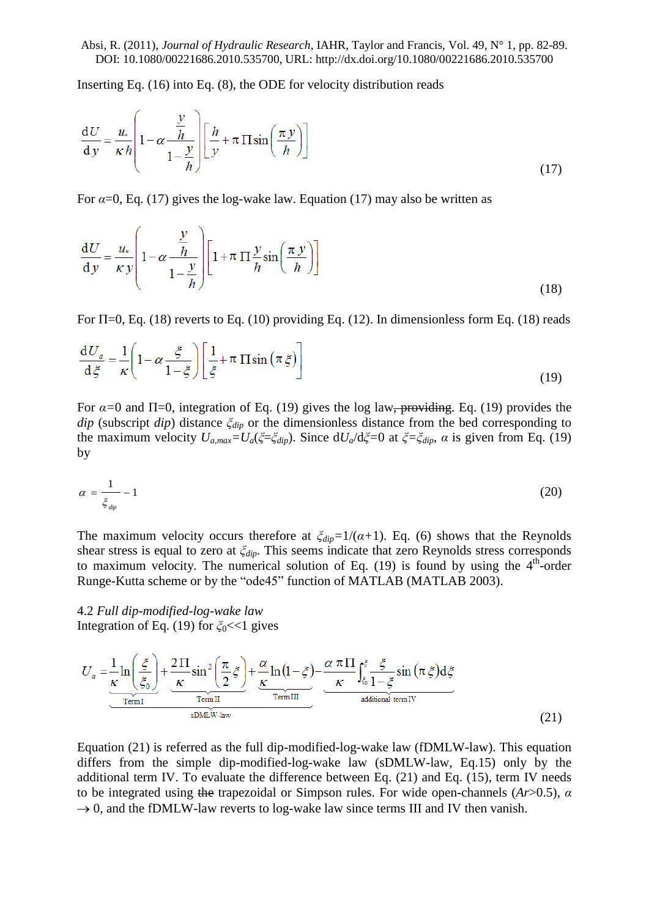Inserting Eq. (16) into Eq. (8), the ODE for velocity distribution reads

$$
\frac{dU}{dy} = \frac{u_*}{\kappa h} \left( 1 - \alpha \frac{\frac{y}{h}}{1 - \frac{y}{h}} \right) \left[ \frac{h}{y} + \pi \Pi \sin \left( \frac{\pi y}{h} \right) \right]
$$
(17)

For  $\alpha$ =0, Eq. (17) gives the log-wake law. Equation (17) may also be written as

$$
\frac{\mathrm{d}U}{\mathrm{d}y} = \frac{u_*}{\kappa y} \left( 1 - \alpha \frac{\frac{y}{h}}{1 - \frac{y}{h}} \right) \left[ 1 + \pi \prod \frac{y}{h} \sin \left( \frac{\pi y}{h} \right) \right]
$$
(18)

For  $\Pi$ =0, Eq. (18) reverts to Eq. (10) providing Eq. (12). In dimensionless form Eq. (18) reads

$$
\frac{\mathrm{d}U_a}{\mathrm{d}\xi} = \frac{1}{\kappa} \left( 1 - \alpha \frac{\xi}{1 - \xi} \right) \left[ \frac{1}{\xi} + \pi \, \Pi \sin \left( \pi \xi \right) \right] \tag{19}
$$

For  $\alpha$ =0 and  $\Pi$ =0, integration of Eq. (19) gives the log law<del>, providing</del>. Eq. (19) provides the *dip* (subscript *dip*) distance *ξdip* or the dimensionless distance from the bed corresponding to the maximum velocity  $U_{a,max} = U_a(\xi = \xi_{dip})$ . Since  $dU_a/d\xi = 0$  at  $\xi = \xi_{dip}$ ,  $\alpha$  is given from Eq. (19) by

$$
\alpha = \frac{1}{\xi_{\text{dip}}} - 1 \tag{20}
$$

The maximum velocity occurs therefore at  $\zeta_{div} = 1/((\alpha+1))$ . Eq. (6) shows that the Reynolds shear stress is equal to zero at *ξdip*. This seems indicate that zero Reynolds stress corresponds to maximum velocity. The numerical solution of Eq.  $(19)$  is found by using the  $4<sup>th</sup>$ -order Runge-Kutta scheme or by the "ode45" function of MATLAB (MATLAB 2003).

4.2 *Full dip-modified-log-wake law* Integration of Eq. (19) for *ξ*0<<1 gives

$$
U_{a} = \frac{1}{\frac{\kappa}{\kappa}} \ln\left(\frac{\xi}{\xi_{0}}\right) + \frac{2 \Pi}{\frac{\kappa}{\kappa}} \sin^{2}\left(\frac{\pi}{2}\xi\right) + \frac{\alpha}{\frac{\kappa}{\kappa}} \ln\left(1 - \xi\right) - \frac{\alpha \pi \Pi}{\kappa} \int_{\xi_{0}}^{\xi} \frac{\xi}{1 - \xi} \sin\left(\pi \xi\right) d\xi
$$
\nTerm II\n
$$
\frac{\pi \tan \Pi}{\text{Hom II}} \frac{\pi \tan \Pi}{\text{Hom II}} \frac{\pi \tan \Pi}{\text{radational term IV}}
$$
\n(21)

Equation (21) is referred as the full dip-modified-log-wake law (fDMLW-law). This equation differs from the simple dip-modified-log-wake law (sDMLW-law, Eq.15) only by the additional term IV. To evaluate the difference between Eq. (21) and Eq. (15), term IV needs to be integrated using the trapezoidal or Simpson rules. For wide open-channels (*Ar*>0.5), *α*  $\rightarrow$  0, and the fDMLW-law reverts to log-wake law since terms III and IV then vanish.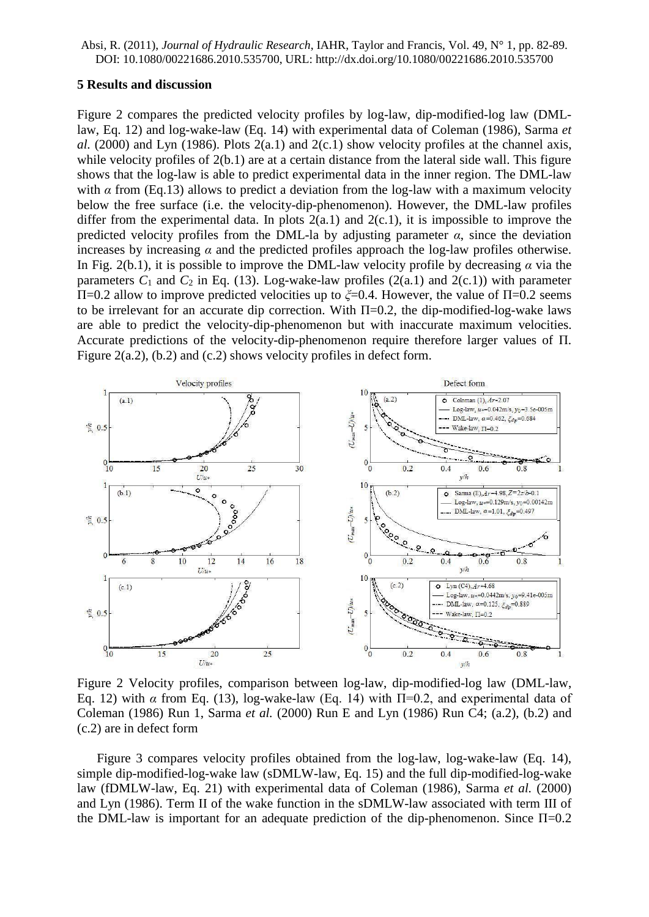#### **5 Results and discussion**

Figure 2 compares the predicted velocity profiles by log-law, dip-modified-log law (DMLlaw, Eq. 12) and log-wake-law (Eq. 14) with experimental data of Coleman (1986), Sarma *et al.* (2000) and Lyn (1986). Plots  $2(a.1)$  and  $2(c.1)$  show velocity profiles at the channel axis, while velocity profiles of  $2(b.1)$  are at a certain distance from the lateral side wall. This figure shows that the log-law is able to predict experimental data in the inner region. The DML-law with  $\alpha$  from (Eq.13) allows to predict a deviation from the log-law with a maximum velocity below the free surface (i.e. the velocity-dip-phenomenon). However, the DML-law profiles differ from the experimental data. In plots  $2(a.1)$  and  $2(c.1)$ , it is impossible to improve the predicted velocity profiles from the DML-la by adjusting parameter  $\alpha$ , since the deviation increases by increasing  $\alpha$  and the predicted profiles approach the log-law profiles otherwise. In Fig. 2(b.1), it is possible to improve the DML-law velocity profile by decreasing  $\alpha$  via the parameters  $C_1$  and  $C_2$  in Eq. (13). Log-wake-law profiles (2(a.1) and 2(c.1)) with parameter Π=0.2 allow to improve predicted velocities up to *ξ*=0.4. However, the value of Π=0.2 seems to be irrelevant for an accurate dip correction. With  $\Pi$ =0.2, the dip-modified-log-wake laws are able to predict the velocity-dip-phenomenon but with inaccurate maximum velocities. Accurate predictions of the velocity-dip-phenomenon require therefore larger values of Π. Figure 2(a.2), (b.2) and (c.2) shows velocity profiles in defect form.



Figure 2 Velocity profiles, comparison between log-law, dip-modified-log law (DML-law, Eq. 12) with *α* from Eq. (13), log-wake-law (Eq. 14) with  $\Pi$ =0.2, and experimental data of Coleman (1986) Run 1, Sarma *et al.* (2000) Run E and Lyn (1986) Run C4; (a.2), (b.2) and (c.2) are in defect form

Figure 3 compares velocity profiles obtained from the log-law, log-wake-law (Eq. 14), simple dip-modified-log-wake law (sDMLW-law, Eq. 15) and the full dip-modified-log-wake law (fDMLW-law, Eq. 21) with experimental data of Coleman (1986), Sarma *et al.* (2000) and Lyn (1986). Term II of the wake function in the sDMLW-law associated with term III of the DML-law is important for an adequate prediction of the dip-phenomenon. Since  $\Pi$ =0.2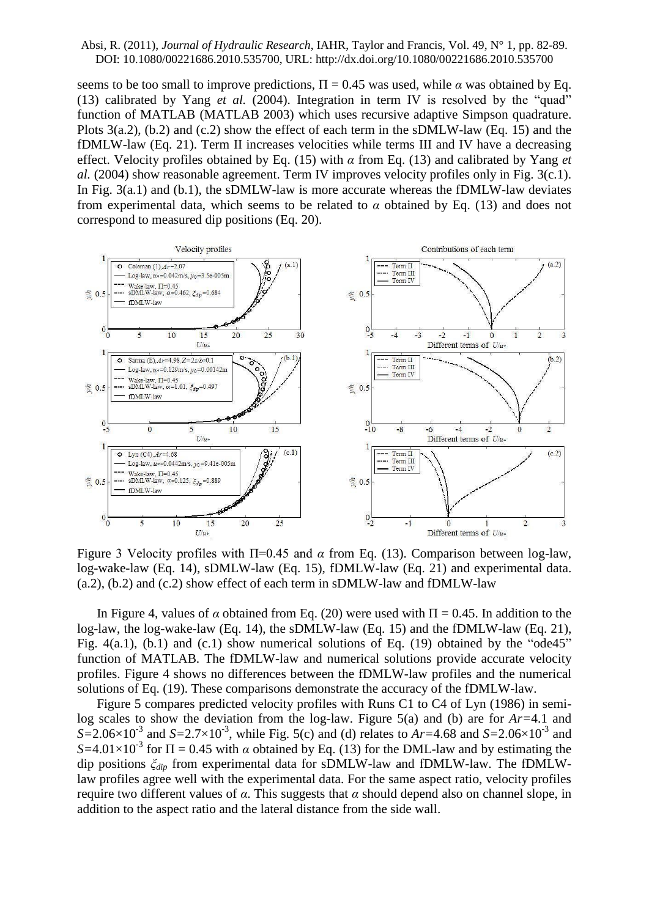seems to be too small to improve predictions,  $\Pi = 0.45$  was used, while  $\alpha$  was obtained by Eq. (13) calibrated by Yang *et al.* (2004). Integration in term IV is resolved by the "quad" function of MATLAB (MATLAB 2003) which uses recursive adaptive Simpson quadrature. Plots 3(a.2), (b.2) and (c.2) show the effect of each term in the sDMLW-law (Eq. 15) and the fDMLW-law (Eq. 21). Term II increases velocities while terms III and IV have a decreasing effect. Velocity profiles obtained by Eq. (15) with *α* from Eq. (13) and calibrated by Yang *et al.* (2004) show reasonable agreement. Term IV improves velocity profiles only in Fig. 3(c.1). In Fig. 3(a.1) and (b.1), the sDMLW-law is more accurate whereas the fDMLW-law deviates from experimental data, which seems to be related to  $\alpha$  obtained by Eq. (13) and does not correspond to measured dip positions (Eq. 20).



Figure 3 Velocity profiles with Π=0.45 and *α* from Eq. (13). Comparison between log-law, log-wake-law (Eq. 14), sDMLW-law (Eq. 15), fDMLW-law (Eq. 21) and experimental data. (a.2), (b.2) and (c.2) show effect of each term in sDMLW-law and fDMLW-law

In Figure 4, values of  $\alpha$  obtained from Eq. (20) were used with  $\Pi = 0.45$ . In addition to the log-law, the log-wake-law (Eq. 14), the sDMLW-law (Eq. 15) and the fDMLW-law (Eq. 21), Fig.  $4(a.1)$ , (b.1) and (c.1) show numerical solutions of Eq. (19) obtained by the "ode45" function of MATLAB. The fDMLW-law and numerical solutions provide accurate velocity profiles. Figure 4 shows no differences between the fDMLW-law profiles and the numerical solutions of Eq. (19). These comparisons demonstrate the accuracy of the fDMLW-law.

Figure 5 compares predicted velocity profiles with Runs C1 to C4 of Lyn (1986) in semilog scales to show the deviation from the log-law. Figure 5(a) and (b) are for *Ar=*4.1 and  $S=2.06\times10^{-3}$  and  $S=2.7\times10^{-3}$ , while Fig. 5(c) and (d) relates to *Ar*=4.68 and *S*=2.06×10<sup>-3</sup> and  $S=4.01\times10^{-3}$  for  $\Pi = 0.45$  with *α* obtained by Eq. (13) for the DML-law and by estimating the dip positions *ξdip* from experimental data for sDMLW-law and fDMLW-law. The fDMLWlaw profiles agree well with the experimental data. For the same aspect ratio, velocity profiles require two different values of *α*. This suggests that *α* should depend also on channel slope, in addition to the aspect ratio and the lateral distance from the side wall.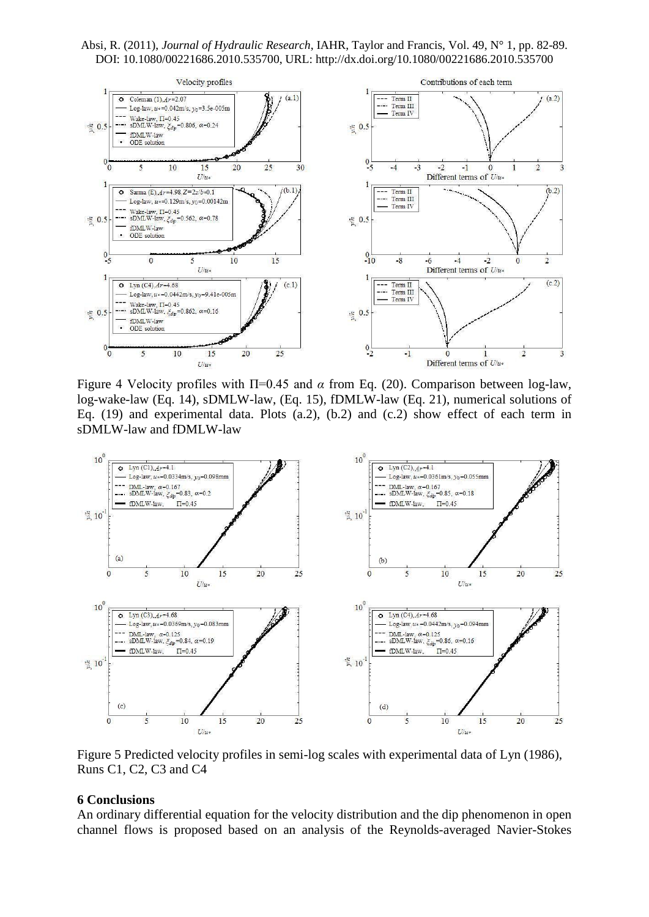Absi, R. (2011), *Journal of Hydraulic Research*, IAHR, Taylor and Francis, Vol. 49, N° 1, pp. 82-89. DOI: 10.1080/00221686.2010.535700, URL: http://dx.doi.org/10.1080/00221686.2010.535700



Figure 4 Velocity profiles with Π=0.45 and *α* from Eq. (20). Comparison between log-law, log-wake-law (Eq. 14), sDMLW-law, (Eq. 15), fDMLW-law (Eq. 21), numerical solutions of Eq. (19) and experimental data. Plots (a.2), (b.2) and (c.2) show effect of each term in sDMLW-law and fDMLW-law



Figure 5 Predicted velocity profiles in semi-log scales with experimental data of Lyn (1986), Runs C1, C2, C3 and C4

## **6 Conclusions**

An ordinary differential equation for the velocity distribution and the dip phenomenon in open channel flows is proposed based on an analysis of the Reynolds-averaged Navier-Stokes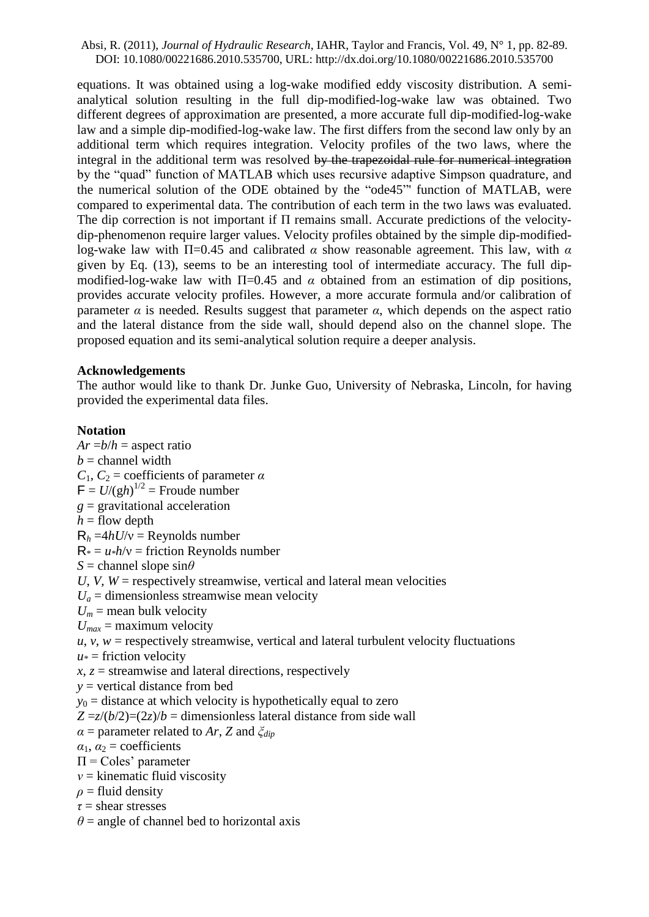equations. It was obtained using a log-wake modified eddy viscosity distribution. A semianalytical solution resulting in the full dip-modified-log-wake law was obtained. Two different degrees of approximation are presented, a more accurate full dip-modified-log-wake law and a simple dip-modified-log-wake law. The first differs from the second law only by an additional term which requires integration. Velocity profiles of the two laws, where the integral in the additional term was resolved by the trapezoidal rule for numerical integration by the "quad" function of MATLAB which uses recursive adaptive Simpson quadrature, and the numerical solution of the ODE obtained by the "ode45"' function of MATLAB, were compared to experimental data. The contribution of each term in the two laws was evaluated. The dip correction is not important if Π remains small. Accurate predictions of the velocitydip-phenomenon require larger values. Velocity profiles obtained by the simple dip-modifiedlog-wake law with Π=0.45 and calibrated *α* show reasonable agreement. This law, with *α* given by Eq. (13), seems to be an interesting tool of intermediate accuracy. The full dipmodified-log-wake law with  $\Pi$ =0.45 and  $\alpha$  obtained from an estimation of dip positions, provides accurate velocity profiles. However, a more accurate formula and/or calibration of parameter  $\alpha$  is needed. Results suggest that parameter  $\alpha$ , which depends on the aspect ratio and the lateral distance from the side wall, should depend also on the channel slope. The proposed equation and its semi-analytical solution require a deeper analysis.

# **Acknowledgements**

The author would like to thank Dr. Junke Guo, University of Nebraska, Lincoln, for having provided the experimental data files.

# **Notation**

 $Ar = b/h =$  aspect ratio  $b =$ channel width  $C_1$ ,  $C_2$  = coefficients of parameter  $\alpha$  $F = U/(gh)^{1/2}$  = Froude number *g* = gravitational acceleration  $h =$  flow depth  $R_h = 4hU/v =$  Reynolds number  $R_* = u_* h/v =$  friction Reynolds number  $S =$ channel slope sin $\theta$ *U*, *V*,  $W =$  respectively streamwise, vertical and lateral mean velocities  $U_a$  = dimensionless streamwise mean velocity  $U_m$  = mean bulk velocity  $U_{max}$  = maximum velocity  $u, v, w$  = respectively streamwise, vertical and lateral turbulent velocity fluctuations  $u*$  = friction velocity  $x, z$  = streamwise and lateral directions, respectively *y* = vertical distance from bed  $y_0$  = distance at which velocity is hypothetically equal to zero  $Z = z/(b/2) = (2z)/b =$  dimensionless lateral distance from side wall *α* = parameter related to *Ar*, *Z* and *ξdip*  $\alpha_1$ ,  $\alpha_2$  = coefficients  $\Pi$  = Coles' parameter *ν* = kinematic fluid viscosity  $\rho$  = fluid density *τ* = shear stresses  $\theta$  = angle of channel bed to horizontal axis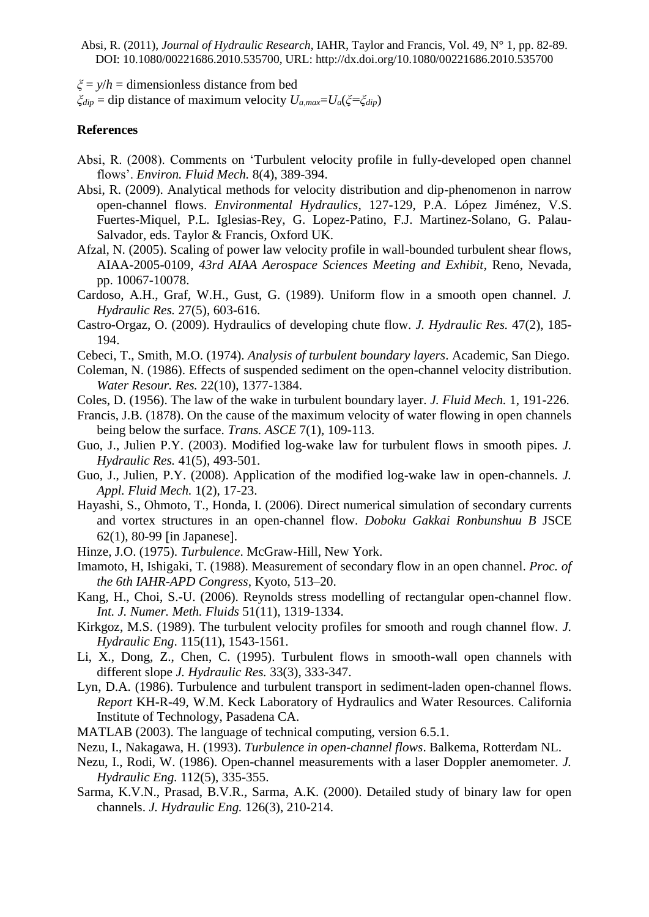*ξ* = *y*/*h* = dimensionless distance from bed

*ξdip* = dip distance of maximum velocity *Ua,max*=*Ua*(*ξ=ξdip*)

## **References**

- Absi, R. (2008). Comments on "Turbulent velocity profile in fully-developed open channel flows". *Environ. Fluid Mech.* 8(4), 389-394.
- Absi, R. (2009). Analytical methods for velocity distribution and dip-phenomenon in narrow open-channel flows. *Environmental Hydraulics*, 127-129, [P.A. López Jiménez,](http://www.taylorandfrancis.com/books/search/author/petra_amparo_lpez_jimnez/) [V.S.](http://www.taylorandfrancis.com/books/search/author/vs_fuertes_miquel/)  [Fuertes-Miquel,](http://www.taylorandfrancis.com/books/search/author/vs_fuertes_miquel/) [P.L. Iglesias-Rey,](http://www.taylorandfrancis.com/books/search/author/pl_iglesias_rey/) [G. Lopez-Patino,](http://www.taylorandfrancis.com/books/search/author/g_lopez_patino/) [F.J. Martinez-Solano,](http://www.taylorandfrancis.com/books/search/author/fj_martinez_solano/) [G. Palau-](http://www.taylorandfrancis.com/books/search/author/g_palau_salvador/)[Salvador,](http://www.taylorandfrancis.com/books/search/author/g_palau_salvador/) eds. Taylor & Francis, Oxford UK.
- Afzal, N. (2005). Scaling of power law velocity profile in wall-bounded turbulent shear flows, AIAA-2005-0109, *43rd AIAA Aerospace Sciences Meeting and Exhibit*, Reno, Nevada, pp. 10067-10078.
- Cardoso, A.H., Graf, W.H., Gust, G. (1989). Uniform flow in a smooth open channel. *J. Hydraulic Res.* 27(5), 603-616.
- Castro-Orgaz, O. (2009). Hydraulics of developing chute flow. *J. Hydraulic Res.* 47(2), 185- 194.
- Cebeci, T., Smith, M.O. (1974). *Analysis of turbulent boundary layers*. Academic, San Diego.
- Coleman, N. (1986). Effects of suspended sediment on the open-channel velocity distribution. *Water Resour. Res.* 22(10), 1377-1384.
- Coles, D. (1956). The law of the wake in turbulent boundary layer. *J. Fluid Mech.* 1, 191-226.
- Francis, J.B. (1878). On the cause of the maximum velocity of water flowing in open channels being below the surface. *Trans. ASCE* 7(1), 109-113.
- Guo, J., Julien P.Y. (2003). Modified log-wake law for turbulent flows in smooth pipes. *J. Hydraulic Res.* 41(5), 493-501.
- Guo, J., Julien, P.Y. (2008). Application of the modified log-wake law in open-channels. *J. Appl. Fluid Mech.* 1(2), 17-23.
- Hayashi, S., Ohmoto, T., Honda, I. (2006). Direct numerical simulation of secondary currents and vortex structures in an open-channel flow. *Doboku Gakkai Ronbunshuu B* JSCE 62(1), 80-99 [in Japanese].
- Hinze, J.O. (1975). *Turbulence*. McGraw-Hill, New York.
- Imamoto, H, Ishigaki, T. (1988). Measurement of secondary flow in an open channel. *Proc. of the 6th IAHR-APD Congress*, Kyoto, 513–20.
- Kang, H., Choi, S.-U. (2006). Reynolds stress modelling of rectangular open-channel flow. *Int. J. Numer. Meth. Fluids* 51(11), 1319-1334.
- Kirkgoz, M.S. (1989). The turbulent velocity profiles for smooth and rough channel flow. *J. Hydraulic Eng*. 115(11), 1543-1561.
- Li, X., Dong, Z., Chen, C. (1995). Turbulent flows in smooth-wall open channels with different slope *J. Hydraulic Res.* 33(3), 333-347.
- Lyn, D.A. (1986). Turbulence and turbulent transport in sediment-laden open-channel flows. *Report* KH-R-49, W.M. Keck Laboratory of Hydraulics and Water Resources. California Institute of Technology, Pasadena CA.
- MATLAB (2003). The language of technical computing, version 6.5.1.
- Nezu, I., Nakagawa, H. (1993). *Turbulence in open-channel flows*. Balkema, Rotterdam NL.
- Nezu, I., Rodi, W. (1986). Open-channel measurements with a laser Doppler anemometer. *J. Hydraulic Eng.* 112(5), 335-355.
- Sarma, K.V.N., Prasad, B.V.R., Sarma, A.K. (2000). Detailed study of binary law for open channels. *J. Hydraulic Eng.* 126(3), 210-214.